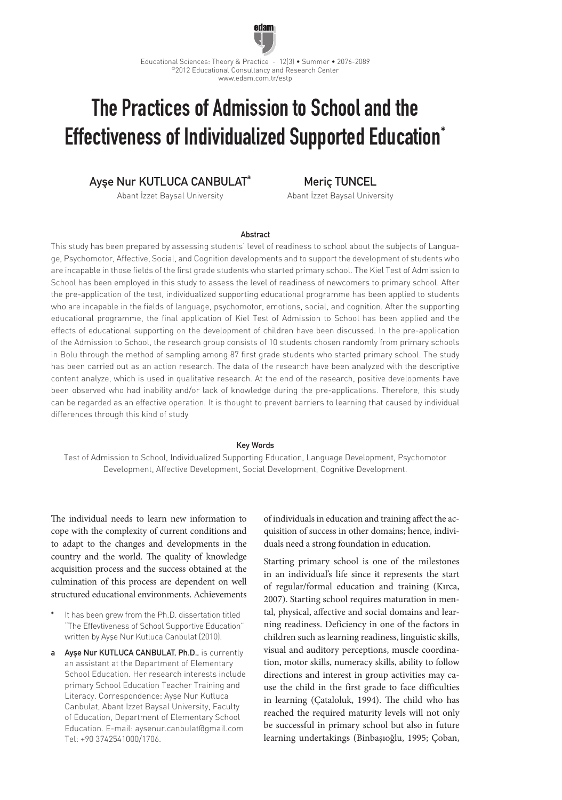

# The Practices of Admission to School and the Effectiveness of Individualized Supported Education\*

# Ayşe Nur KUTLUCA CANBULAT<sup>a</sup>

Abant İzzet Baysal University

Meriç TUNCEL

Abant İzzet Baysal University

## Abstract

This study has been prepared by assessing students' level of readiness to school about the subjects of Language, Psychomotor, Affective, Social, and Cognition developments and to support the development of students who are incapable in those fields of the first grade students who started primary school. The Kiel Test of Admission to School has been employed in this study to assess the level of readiness of newcomers to primary school. After the pre-application of the test, individualized supporting educational programme has been applied to students who are incapable in the fields of language, psychomotor, emotions, social, and cognition. After the supporting educational programme, the final application of Kiel Test of Admission to School has been applied and the effects of educational supporting on the development of children have been discussed. In the pre-application of the Admission to School, the research group consists of 10 students chosen randomly from primary schools in Bolu through the method of sampling among 87 first grade students who started primary school. The study has been carried out as an action research. The data of the research have been analyzed with the descriptive content analyze, which is used in qualitative research. At the end of the research, positive developments have been observed who had inability and/or lack of knowledge during the pre-applications. Therefore, this study can be regarded as an effective operation. It is thought to prevent barriers to learning that caused by individual differences through this kind of study

#### Key Words

Test of Admission to School, Individualized Supporting Education, Language Development, Psychomotor Development, Affective Development, Social Development, Cognitive Development.

The individual needs to learn new information to cope with the complexity of current conditions and to adapt to the changes and developments in the country and the world. The quality of knowledge acquisition process and the success obtained at the culmination of this process are dependent on well structured educational environments. Achievements

- It has been grew from the Ph.D. dissertation titled "The Effevtiveness of School Supportive Education" written by Ayşe Nur Kutluca Canbulat (2010).
- a Ayşe Nur KUTLUCA CANBULAT, Ph.D., is currently an assistant at the Department of Elementary School Education. Her research interests include primary School Education Teacher Training and Literacy. Correspondence: Ayşe Nur Kutluca Canbulat, Abant Izzet Baysal University, Faculty of Education, Department of Elementary School Education. E-mail: aysenur.canbulat@gmail.com Tel: +90 3742541000/1706.

of individuals in education and training affect the acquisition of success in other domains; hence, individuals need a strong foundation in education.

Starting primary school is one of the milestones in an individual's life since it represents the start of regular/formal education and training (Kırca, 2007). Starting school requires maturation in mental, physical, affective and social domains and learning readiness. Deficiency in one of the factors in children such as learning readiness, linguistic skills, visual and auditory perceptions, muscle coordination, motor skills, numeracy skills, ability to follow directions and interest in group activities may cause the child in the first grade to face difficulties in learning (Çataloluk, 1994). The child who has reached the required maturity levels will not only be successful in primary school but also in future learning undertakings (Binbaşıoğlu, 1995; Çoban,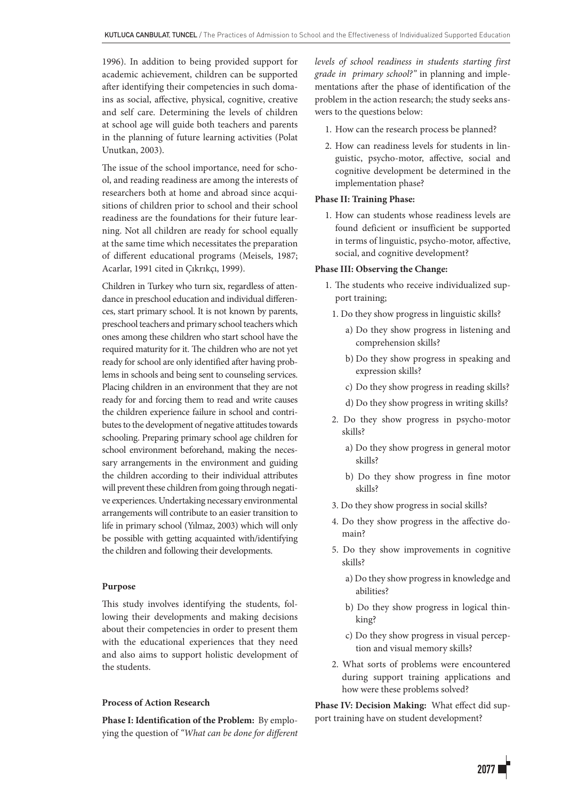1996). In addition to being provided support for academic achievement, children can be supported after identifying their competencies in such domains as social, affective, physical, cognitive, creative and self care. Determining the levels of children at school age will guide both teachers and parents in the planning of future learning activities (Polat Unutkan, 2003).

The issue of the school importance, need for school, and reading readiness are among the interests of researchers both at home and abroad since acquisitions of children prior to school and their school readiness are the foundations for their future learning. Not all children are ready for school equally at the same time which necessitates the preparation of different educational programs (Meisels, 1987; Acarlar, 1991 cited in Çıkrıkçı, 1999).

Children in Turkey who turn six, regardless of attendance in preschool education and individual differences, start primary school. It is not known by parents, preschool teachers and primary school teachers which ones among these children who start school have the required maturity for it. The children who are not yet ready for school are only identified after having problems in schools and being sent to counseling services. Placing children in an environment that they are not ready for and forcing them to read and write causes the children experience failure in school and contributes to the development of negative attitudes towards schooling. Preparing primary school age children for school environment beforehand, making the necessary arrangements in the environment and guiding the children according to their individual attributes will prevent these children from going through negative experiences. Undertaking necessary environmental arrangements will contribute to an easier transition to life in primary school (Yılmaz, 2003) which will only be possible with getting acquainted with/identifying the children and following their developments.

# **Purpose**

This study involves identifying the students, following their developments and making decisions about their competencies in order to present them with the educational experiences that they need and also aims to support holistic development of the students.

# **Process of Action Research**

**Phase I: Identification of the Problem:** By employing the question of *"What can be done for different*  *levels of school readiness in students starting first grade in primary school?"* in planning and implementations after the phase of identification of the problem in the action research; the study seeks answers to the questions below:

- 1. How can the research process be planned?
- 2. How can readiness levels for students in linguistic, psycho-motor, affective, social and cognitive development be determined in the implementation phase?

## **Phase II: Training Phase:**

1. How can students whose readiness levels are found deficient or insufficient be supported in terms of linguistic, psycho-motor, affective, social, and cognitive development?

# **Phase III: Observing the Change:**

- 1. The students who receive individualized support training;
	- 1. Do they show progress in linguistic skills?
		- a) Do they show progress in listening and comprehension skills?
		- b) Do they show progress in speaking and expression skills?
		- c) Do they show progress in reading skills?
		- d) Do they show progress in writing skills?
	- 2. Do they show progress in psycho-motor skills?
		- a) Do they show progress in general motor skills?
		- b) Do they show progress in fine motor skills?
	- 3. Do they show progress in social skills?
	- 4. Do they show progress in the affective domain?
	- 5. Do they show improvements in cognitive skills?
		- a) Do they show progress in knowledge and abilities?
		- b) Do they show progress in logical thinking?
		- c) Do they show progress in visual perception and visual memory skills?
- 2. What sorts of problems were encountered during support training applications and how were these problems solved?

**Phase IV: Decision Making:** What effect did support training have on student development?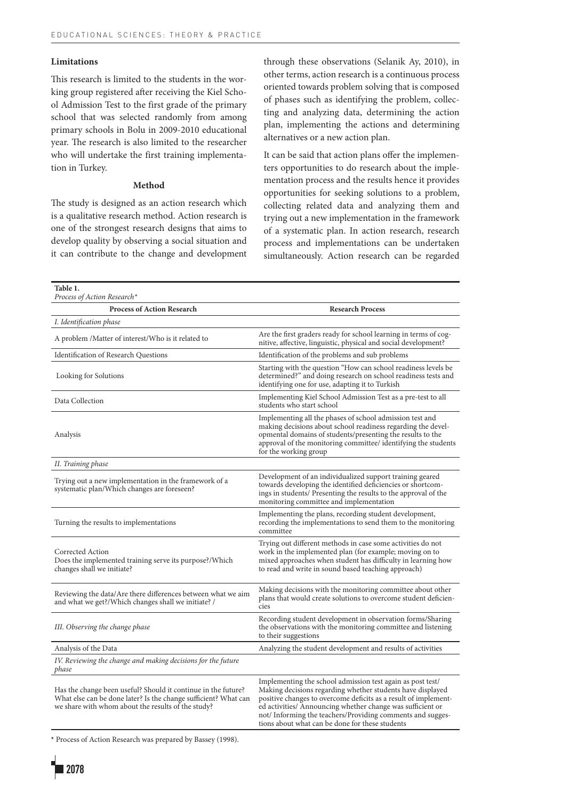#### **Limitations**

This research is limited to the students in the working group registered after receiving the Kiel School Admission Test to the first grade of the primary school that was selected randomly from among primary schools in Bolu in 2009-2010 educational year. The research is also limited to the researcher who will undertake the first training implementation in Turkey.

## **Method**

The study is designed as an action research which is a qualitative research method. Action research is one of the strongest research designs that aims to develop quality by observing a social situation and it can contribute to the change and development through these observations (Selanik Ay, 2010), in other terms, action research is a continuous process oriented towards problem solving that is composed of phases such as identifying the problem, collecting and analyzing data, determining the action plan, implementing the actions and determining alternatives or a new action plan.

It can be said that action plans offer the implementers opportunities to do research about the implementation process and the results hence it provides opportunities for seeking solutions to a problem, collecting related data and analyzing them and trying out a new implementation in the framework of a systematic plan. In action research, research process and implementations can be undertaken simultaneously. Action research can be regarded

| Table 1.<br>Process of Action Research*                                                                                                                                                |                                                                                                                                                                                                                                                                                                                        |
|----------------------------------------------------------------------------------------------------------------------------------------------------------------------------------------|------------------------------------------------------------------------------------------------------------------------------------------------------------------------------------------------------------------------------------------------------------------------------------------------------------------------|
| <b>Process of Action Research</b>                                                                                                                                                      | <b>Research Process</b>                                                                                                                                                                                                                                                                                                |
| I. Identification phase                                                                                                                                                                |                                                                                                                                                                                                                                                                                                                        |
| A problem /Matter of interest/Who is it related to                                                                                                                                     | Are the first graders ready for school learning in terms of cog-<br>nitive, affective, linguistic, physical and social development?                                                                                                                                                                                    |
| Identification of Research Questions                                                                                                                                                   | Identification of the problems and sub problems                                                                                                                                                                                                                                                                        |
| Looking for Solutions                                                                                                                                                                  | Starting with the question "How can school readiness levels be<br>determined?" and doing research on school readiness tests and<br>identifying one for use, adapting it to Turkish                                                                                                                                     |
| Data Collection                                                                                                                                                                        | Implementing Kiel School Admission Test as a pre-test to all<br>students who start school                                                                                                                                                                                                                              |
| Analysis                                                                                                                                                                               | Implementing all the phases of school admission test and<br>making decisions about school readiness regarding the devel-<br>opmental domains of students/presenting the results to the<br>approval of the monitoring committee/ identifying the students<br>for the working group                                      |
| II. Training phase                                                                                                                                                                     |                                                                                                                                                                                                                                                                                                                        |
| Trying out a new implementation in the framework of a<br>systematic plan/Which changes are foreseen?                                                                                   | Development of an individualized support training geared<br>towards developing the identified deficiencies or shortcom-<br>ings in students/ Presenting the results to the approval of the<br>monitoring committee and implementation                                                                                  |
| Turning the results to implementations                                                                                                                                                 | Implementing the plans, recording student development,<br>recording the implementations to send them to the monitoring<br>committee                                                                                                                                                                                    |
| Corrected Action<br>Does the implemented training serve its purpose?/Which<br>changes shall we initiate?                                                                               | Trying out different methods in case some activities do not<br>work in the implemented plan (for example; moving on to<br>mixed approaches when student has difficulty in learning how<br>to read and write in sound based teaching approach)                                                                          |
| Reviewing the data/Are there differences between what we aim<br>and what we get?/Which changes shall we initiate? /                                                                    | Making decisions with the monitoring committee about other<br>plans that would create solutions to overcome student deficien-<br>cies                                                                                                                                                                                  |
| III. Observing the change phase                                                                                                                                                        | Recording student development in observation forms/Sharing<br>the observations with the monitoring committee and listening<br>to their suggestions                                                                                                                                                                     |
| Analysis of the Data                                                                                                                                                                   | Analyzing the student development and results of activities                                                                                                                                                                                                                                                            |
| IV. Reviewing the change and making decisions for the future<br>phase                                                                                                                  |                                                                                                                                                                                                                                                                                                                        |
| Has the change been useful? Should it continue in the future?<br>What else can be done later? Is the change sufficient? What can<br>we share with whom about the results of the study? | Implementing the school admission test again as post test/<br>Making decisions regarding whether students have displayed<br>positive changes to overcome deficits as a result of implement-<br>ed activities/ Announcing whether change was sufficient or<br>not/Informing the teachers/Providing comments and sugges- |

tions about what can be done for these students

**\*** Process of Action Research was prepared by Bassey (1998).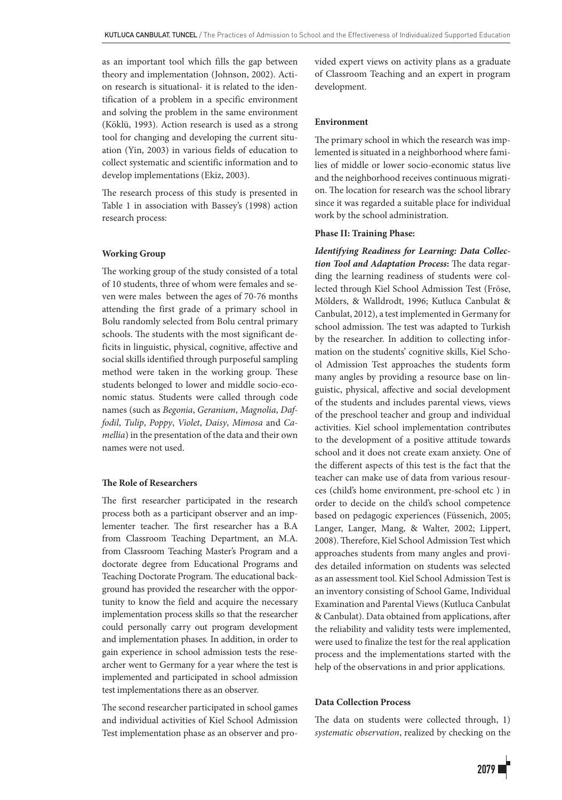as an important tool which fills the gap between theory and implementation (Johnson, 2002). Action research is situational- it is related to the identification of a problem in a specific environment and solving the problem in the same environment (Köklü, 1993). Action research is used as a strong tool for changing and developing the current situation (Yin, 2003) in various fields of education to collect systematic and scientific information and to develop implementations (Ekiz, 2003).

The research process of this study is presented in Table 1 in association with Bassey's (1998) action research process:

## **Working Group**

The working group of the study consisted of a total of 10 students, three of whom were females and seven were males between the ages of 70-76 months attending the first grade of a primary school in Bolu randomly selected from Bolu central primary schools. The students with the most significant deficits in linguistic, physical, cognitive, affective and social skills identified through purposeful sampling method were taken in the working group. These students belonged to lower and middle socio-economic status. Students were called through code names (such as *Begonia*, *Geranium*, *Magnolia*, *Daffodil*, *Tulip*, *Poppy*, *Violet*, *Daisy*, *Mimosa* and *Camellia*) in the presentation of the data and their own names were not used.

# **The Role of Researchers**

The first researcher participated in the research process both as a participant observer and an implementer teacher. The first researcher has a B.A from Classroom Teaching Department, an M.A. from Classroom Teaching Master's Program and a doctorate degree from Educational Programs and Teaching Doctorate Program. The educational background has provided the researcher with the opportunity to know the field and acquire the necessary implementation process skills so that the researcher could personally carry out program development and implementation phases. In addition, in order to gain experience in school admission tests the researcher went to Germany for a year where the test is implemented and participated in school admission test implementations there as an observer.

The second researcher participated in school games and individual activities of Kiel School Admission Test implementation phase as an observer and provided expert views on activity plans as a graduate of Classroom Teaching and an expert in program development.

### **Environment**

The primary school in which the research was implemented is situated in a neighborhood where families of middle or lower socio-economic status live and the neighborhood receives continuous migration. The location for research was the school library since it was regarded a suitable place for individual work by the school administration.

# **Phase II: Training Phase:**

*Identifying Readiness for Learning: Data Collection Tool and Adaptation Process***:** The data regarding the learning readiness of students were collected through Kiel School Admission Test (Fröse, Mölders, & Walldrodt, 1996; Kutluca Canbulat & Canbulat, 2012), a test implemented in Germany for school admission. The test was adapted to Turkish by the researcher. In addition to collecting information on the students' cognitive skills, Kiel School Admission Test approaches the students form many angles by providing a resource base on linguistic, physical, affective and social development of the students and includes parental views, views of the preschool teacher and group and individual activities. Kiel school implementation contributes to the development of a positive attitude towards school and it does not create exam anxiety. One of the different aspects of this test is the fact that the teacher can make use of data from various resources (child's home environment, pre-school etc ) in order to decide on the child's school competence based on pedagogic experiences (Füssenich, 2005; Langer, Langer, Mang, & Walter, 2002; Lippert, 2008). Therefore, Kiel School Admission Test which approaches students from many angles and provides detailed information on students was selected as an assessment tool. Kiel School Admission Test is an inventory consisting of School Game, Individual Examination and Parental Views (Kutluca Canbulat & Canbulat). Data obtained from applications, after the reliability and validity tests were implemented, were used to finalize the test for the real application process and the implementations started with the help of the observations in and prior applications.

# **Data Collection Process**

The data on students were collected through, 1) *systematic observation*, realized by checking on the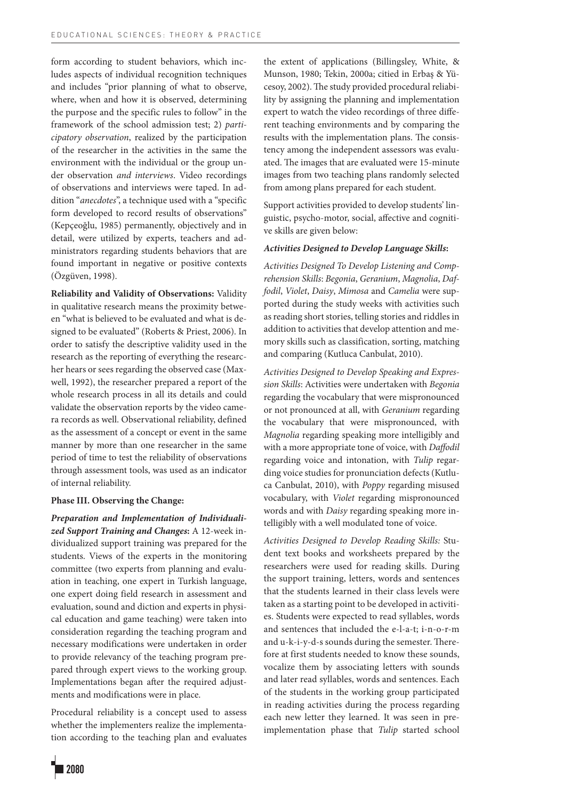form according to student behaviors, which includes aspects of individual recognition techniques and includes "prior planning of what to observe, where, when and how it is observed, determining the purpose and the specific rules to follow" in the framework of the school admission test; 2) *participatory observation*, realized by the participation of the researcher in the activities in the same the environment with the individual or the group under observation *and interviews*. Video recordings of observations and interviews were taped. In addition "*anecdotes*", a technique used with a "specific form developed to record results of observations" (Kepçeoğlu, 1985) permanently, objectively and in detail, were utilized by experts, teachers and administrators regarding students behaviors that are found important in negative or positive contexts (Özgüven, 1998).

**Reliability and Validity of Observations:** Validity in qualitative research means the proximity between "what is believed to be evaluated and what is designed to be evaluated" (Roberts & Priest, 2006). In order to satisfy the descriptive validity used in the research as the reporting of everything the researcher hears or sees regarding the observed case (Maxwell, 1992), the researcher prepared a report of the whole research process in all its details and could validate the observation reports by the video camera records as well. Observational reliability, defined as the assessment of a concept or event in the same manner by more than one researcher in the same period of time to test the reliability of observations through assessment tools, was used as an indicator of internal reliability.

# **Phase III. Observing the Change:**

*Preparation and Implementation of Individualized Support Training and Changes***:** A 12-week individualized support training was prepared for the students. Views of the experts in the monitoring committee (two experts from planning and evaluation in teaching, one expert in Turkish language, one expert doing field research in assessment and evaluation, sound and diction and experts in physical education and game teaching) were taken into consideration regarding the teaching program and necessary modifications were undertaken in order to provide relevancy of the teaching program prepared through expert views to the working group. Implementations began after the required adjustments and modifications were in place.

Procedural reliability is a concept used to assess whether the implementers realize the implementation according to the teaching plan and evaluates the extent of applications (Billingsley, White, & Munson, 1980; Tekin, 2000a; citied in Erbaş & Yücesoy, 2002). The study provided procedural reliability by assigning the planning and implementation expert to watch the video recordings of three different teaching environments and by comparing the results with the implementation plans. The consistency among the independent assessors was evaluated. The images that are evaluated were 15-minute images from two teaching plans randomly selected from among plans prepared for each student.

Support activities provided to develop students' linguistic, psycho-motor, social, affective and cognitive skills are given below:

## *Activities Designed to Develop Language Skills***:**

*Activities Designed To Develop Listening and Comprehension Skills*: *Begonia*, *Geranium*, *Magnolia*, *Daffodil*, *Violet*, *Daisy*, *Mimosa* and *Camelia* were supported during the study weeks with activities such as reading short stories, telling stories and riddles in addition to activities that develop attention and memory skills such as classification, sorting, matching and comparing (Kutluca Canbulat, 2010).

*Activities Designed to Develop Speaking and Expression Skills*: Activities were undertaken with *Begonia* regarding the vocabulary that were mispronounced or not pronounced at all, with *Geranium* regarding the vocabulary that were mispronounced, with *Magnolia* regarding speaking more intelligibly and with a more appropriate tone of voice, with *Daffodil* regarding voice and intonation, with *Tulip* regarding voice studies for pronunciation defects (Kutluca Canbulat, 2010), with *Poppy* regarding misused vocabulary, with *Violet* regarding mispronounced words and with *Daisy* regarding speaking more intelligibly with a well modulated tone of voice.

*Activities Designed to Develop Reading Skills:* Student text books and worksheets prepared by the researchers were used for reading skills. During the support training, letters, words and sentences that the students learned in their class levels were taken as a starting point to be developed in activities. Students were expected to read syllables, words and sentences that included the e-l-a-t; i-n-o-r-m and u-k-i-y-d-s sounds during the semester. Therefore at first students needed to know these sounds, vocalize them by associating letters with sounds and later read syllables, words and sentences. Each of the students in the working group participated in reading activities during the process regarding each new letter they learned. It was seen in preimplementation phase that *Tulip* started school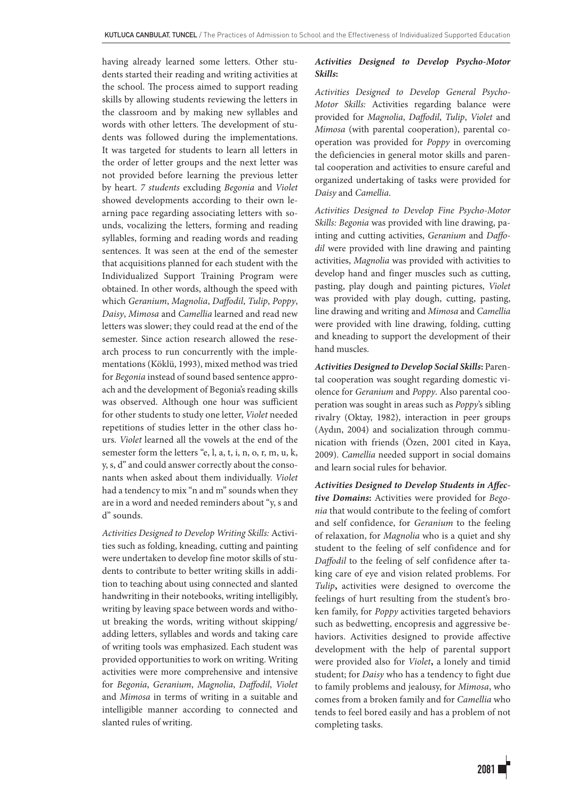having already learned some letters. Other students started their reading and writing activities at the school. The process aimed to support reading skills by allowing students reviewing the letters in the classroom and by making new syllables and words with other letters. The development of students was followed during the implementations. It was targeted for students to learn all letters in the order of letter groups and the next letter was not provided before learning the previous letter by heart. *7 students* excluding *Begonia* and *Violet* showed developments according to their own learning pace regarding associating letters with sounds, vocalizing the letters, forming and reading syllables, forming and reading words and reading sentences. It was seen at the end of the semester that acquisitions planned for each student with the Individualized Support Training Program were obtained. In other words, although the speed with which *Geranium*, *Magnolia*, *Daffodil*, *Tulip*, *Poppy*, *Daisy*, *Mimosa* and *Camellia* learned and read new letters was slower; they could read at the end of the semester. Since action research allowed the research process to run concurrently with the implementations (Köklü, 1993), mixed method was tried for *Begonia* instead of sound based sentence approach and the development of Begonia's reading skills was observed. Although one hour was sufficient for other students to study one letter, *Violet* needed repetitions of studies letter in the other class hours. *Violet* learned all the vowels at the end of the semester form the letters "e, l, a, t, i, n, o, r, m, u, k, y, s, d" and could answer correctly about the consonants when asked about them individually. *Violet* had a tendency to mix "n and m" sounds when they are in a word and needed reminders about "y, s and d" sounds.

*Activities Designed to Develop Writing Skills:* Activities such as folding, kneading, cutting and painting were undertaken to develop fine motor skills of students to contribute to better writing skills in addition to teaching about using connected and slanted handwriting in their notebooks, writing intelligibly, writing by leaving space between words and without breaking the words, writing without skipping/ adding letters, syllables and words and taking care of writing tools was emphasized. Each student was provided opportunities to work on writing. Writing activities were more comprehensive and intensive for *Begonia*, *Geranium*, *Magnolia*, *Daffodil*, *Violet* and *Mimosa* in terms of writing in a suitable and intelligible manner according to connected and slanted rules of writing.

# *Activities Designed to Develop Psycho-Motor Skills***:**

*Activities Designed to Develop General Psycho-Motor Skills:* Activities regarding balance were provided for *Magnolia*, *Daffodil*, *Tulip*, *Violet* and *Mimosa* (with parental cooperation), parental cooperation was provided for *Poppy* in overcoming the deficiencies in general motor skills and parental cooperation and activities to ensure careful and organized undertaking of tasks were provided for *Daisy* and *Camellia*.

*Activities Designed to Develop Fine Psycho-Motor Skills: Begonia* was provided with line drawing, painting and cutting activities, *Geranium* and *Daffodil* were provided with line drawing and painting activities, *Magnolia* was provided with activities to develop hand and finger muscles such as cutting, pasting, play dough and painting pictures, *Violet* was provided with play dough, cutting, pasting, line drawing and writing and *Mimosa* and *Camellia* were provided with line drawing, folding, cutting and kneading to support the development of their hand muscles.

*Activities Designed to Develop Social Skills***:** Parental cooperation was sought regarding domestic violence for *Geranium* and *Poppy*. Also parental cooperation was sought in areas such as *Poppy*'s sibling rivalry (Oktay, 1982), interaction in peer groups (Aydın, 2004) and socialization through communication with friends (Özen, 2001 cited in Kaya, 2009). *Camellia* needed support in social domains and learn social rules for behavior.

*Activities Designed to Develop Students in Affective Domains***:** Activities were provided for *Begonia* that would contribute to the feeling of comfort and self confidence, for *Geranium* to the feeling of relaxation, for *Magnolia* who is a quiet and shy student to the feeling of self confidence and for *Daffodil* to the feeling of self confidence after taking care of eye and vision related problems. For *Tulip***,** activities were designed to overcome the feelings of hurt resulting from the student's broken family, for *Poppy* activities targeted behaviors such as bedwetting, encopresis and aggressive behaviors. Activities designed to provide affective development with the help of parental support were provided also for *Violet***,** a lonely and timid student; for *Daisy* who has a tendency to fight due to family problems and jealousy, for *Mimosa*, who comes from a broken family and for *Camellia* who tends to feel bored easily and has a problem of not completing tasks.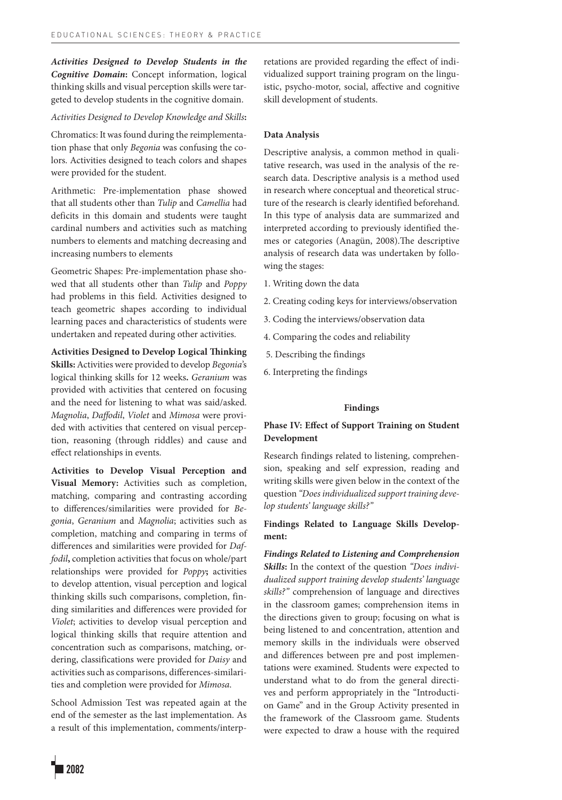*Activities Designed to Develop Students in the Cognitive Domain***:** Concept information, logical thinking skills and visual perception skills were targeted to develop students in the cognitive domain.

# *Activities Designed to Develop Knowledge and Skills***:**

Chromatics: It was found during the reimplementation phase that only *Begonia* was confusing the colors. Activities designed to teach colors and shapes were provided for the student.

Arithmetic: Pre-implementation phase showed that all students other than *Tulip* and *Camellia* had deficits in this domain and students were taught cardinal numbers and activities such as matching numbers to elements and matching decreasing and increasing numbers to elements

Geometric Shapes: Pre-implementation phase showed that all students other than *Tulip* and *Poppy* had problems in this field. Activities designed to teach geometric shapes according to individual learning paces and characteristics of students were undertaken and repeated during other activities.

**Activities Designed to Develop Logical Thinking** 

**Skills:** Activities were provided to develop *Begonia*'s logical thinking skills for 12 weeks**.** *Geranium* was provided with activities that centered on focusing and the need for listening to what was said/asked. *Magnolia*, *Daffodil*, *Violet* and *Mimosa* were provided with activities that centered on visual perception, reasoning (through riddles) and cause and effect relationships in events.

**Activities to Develop Visual Perception and Visual Memory:** Activities such as completion, matching, comparing and contrasting according to differences/similarities were provided for *Begonia*, *Geranium* and *Magnolia*; activities such as completion, matching and comparing in terms of differences and similarities were provided for *Daffodil***,** completion activities that focus on whole/part relationships were provided for *Poppy***;** activities to develop attention, visual perception and logical thinking skills such comparisons, completion, finding similarities and differences were provided for *Violet*; activities to develop visual perception and logical thinking skills that require attention and concentration such as comparisons, matching, ordering, classifications were provided for *Daisy* and activities such as comparisons, differences-similarities and completion were provided for *Mimosa*.

School Admission Test was repeated again at the end of the semester as the last implementation. As a result of this implementation, comments/interp-

### **Data Analysis**

Descriptive analysis, a common method in qualitative research, was used in the analysis of the research data. Descriptive analysis is a method used in research where conceptual and theoretical structure of the research is clearly identified beforehand. In this type of analysis data are summarized and interpreted according to previously identified themes or categories (Anagün, 2008).The descriptive analysis of research data was undertaken by following the stages:

- 1. Writing down the data
- 2. Creating coding keys for interviews/observation
- 3. Coding the interviews/observation data
- 4. Comparing the codes and reliability
- 5. Describing the findings
- 6. Interpreting the findings

#### **Findings**

# **Phase IV: Effect of Support Training on Student Development**

Research findings related to listening, comprehension, speaking and self expression, reading and writing skills were given below in the context of the question *"Does individualized support training develop students' language skills?"*

# **Findings Related to Language Skills Development:**

*Findings Related to Listening and Comprehension Skills***:** In the context of the question *"Does individualized support training develop students' language skills?"* comprehension of language and directives in the classroom games; comprehension items in the directions given to group; focusing on what is being listened to and concentration, attention and memory skills in the individuals were observed and differences between pre and post implementations were examined. Students were expected to understand what to do from the general directives and perform appropriately in the "Introduction Game" and in the Group Activity presented in the framework of the Classroom game. Students were expected to draw a house with the required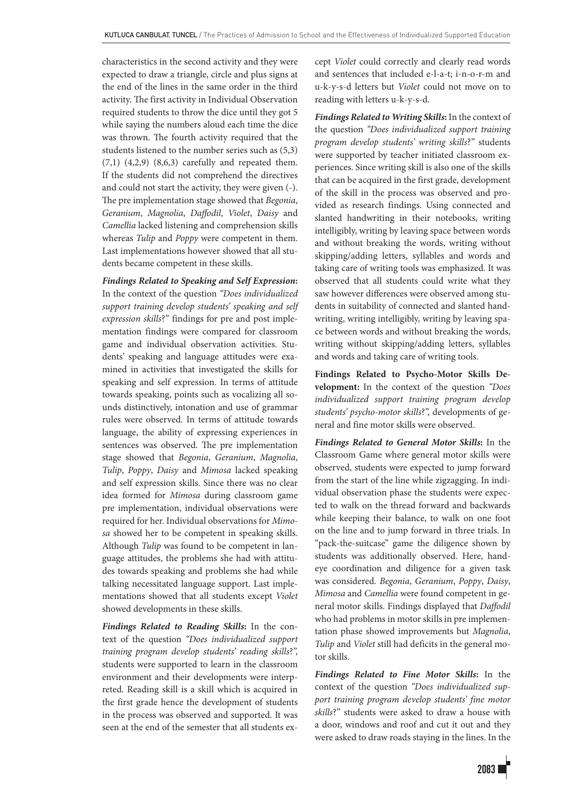characteristics in the second activity and they were expected to draw a triangle, circle and plus signs at the end of the lines in the same order in the third activity. The first activity in Individual Observation required students to throw the dice until they got 5 while saying the numbers aloud each time the dice was thrown. The fourth activity required that the students listened to the number series such as (5,3) (7,1) (4,2,9) (8,6,3) carefully and repeated them. If the students did not comprehend the directives and could not start the activity, they were given (-). The pre implementation stage showed that *Begonia*, *Geranium*, *Magnolia*, *Daffodil*, *Violet*, *Daisy* and *Camellia* lacked listening and comprehension skills whereas *Tulip* and *Poppy* were competent in them. Last implementations however showed that all students became competent in these skills.

*Findings Related to Speaking and Self Expression***:** In the context of the question *"Does individualized support training develop students' speaking and self expression skills*?" findings for pre and post implementation findings were compared for classroom game and individual observation activities. Students' speaking and language attitudes were examined in activities that investigated the skills for speaking and self expression. In terms of attitude towards speaking, points such as vocalizing all sounds distinctively, intonation and use of grammar rules were observed. In terms of attitude towards language, the ability of expressing experiences in sentences was observed. The pre implementation stage showed that *Begonia*, *Geranium*, *Magnolia*, *Tulip*, *Poppy*, *Daisy* and *Mimosa* lacked speaking and self expression skills. Since there was no clear idea formed for *Mimosa* during classroom game pre implementation, individual observations were required for her. Individual observations for *Mimosa* showed her to be competent in speaking skills. Although *Tulip* was found to be competent in language attitudes, the problems she had with attitudes towards speaking and problems she had while talking necessitated language support. Last implementations showed that all students except *Violet* showed developments in these skills.

*Findings Related to Reading Skills***:** In the context of the question *"Does individualized support training program develop students' reading skills*?", students were supported to learn in the classroom environment and their developments were interpreted. Reading skill is a skill which is acquired in the first grade hence the development of students in the process was observed and supported. It was seen at the end of the semester that all students except *Violet* could correctly and clearly read words and sentences that included e-l-a-t; i-n-o-r-m and u-k-y-s-d letters but *Violet* could not move on to reading with letters u-k-y-s-d.

*Findings Related to Writing Skills***:** In the context of the question *"Does individualized support training program develop students' writing skills*?" students were supported by teacher initiated classroom experiences. Since writing skill is also one of the skills that can be acquired in the first grade, development of the skill in the process was observed and provided as research findings. Using connected and slanted handwriting in their notebooks, writing intelligibly, writing by leaving space between words and without breaking the words, writing without skipping/adding letters, syllables and words and taking care of writing tools was emphasized. It was observed that all students could write what they saw however differences were observed among students in suitability of connected and slanted handwriting, writing intelligibly, writing by leaving space between words and without breaking the words, writing without skipping/adding letters, syllables and words and taking care of writing tools.

**Findings Related to Psycho-Motor Skills Development:** In the context of the question *"Does individualized support training program develop students' psycho-motor skills*?", developments of general and fine motor skills were observed.

*Findings Related to General Motor Skills***:** In the Classroom Game where general motor skills were observed, students were expected to jump forward from the start of the line while zigzagging. In individual observation phase the students were expected to walk on the thread forward and backwards while keeping their balance, to walk on one foot on the line and to jump forward in three trials. In "pack-the-suitcase" game the diligence shown by students was additionally observed. Here, handeye coordination and diligence for a given task was considered. *Begonia*, *Geranium*, *Poppy*, *Daisy*, *Mimosa* and *Camellia* were found competent in general motor skills. Findings displayed that *Daffodil* who had problems in motor skills in pre implementation phase showed improvements but *Magnolia*, *Tulip* and *Violet* still had deficits in the general motor skills.

*Findings Related to Fine Motor Skills***:** In the context of the question *"Does individualized support training program develop students' fine motor skills*?" students were asked to draw a house with a door, windows and roof and cut it out and they were asked to draw roads staying in the lines. In the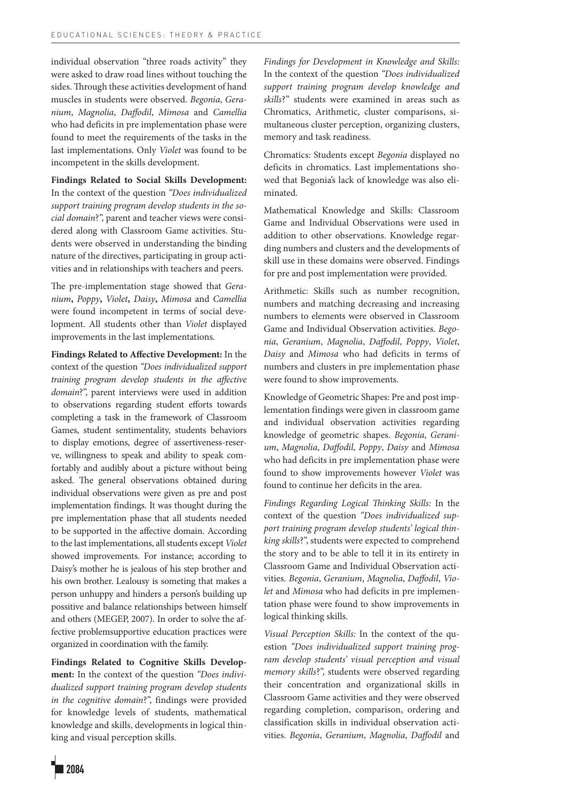individual observation "three roads activity" they were asked to draw road lines without touching the sides. Through these activities development of hand muscles in students were observed. *Begonia*, *Geranium*, *Magnolia*, *Daffodil*, *Mimosa* and *Camellia* who had deficits in pre implementation phase were found to meet the requirements of the tasks in the last implementations. Only *Violet* was found to be incompetent in the skills development.

**Findings Related to Social Skills Development:** In the context of the question *"Does individualized support training program develop students in the social domain*?", parent and teacher views were considered along with Classroom Game activities. Students were observed in understanding the binding nature of the directives, participating in group activities and in relationships with teachers and peers.

The pre-implementation stage showed that *Geranium***,** *Poppy***,** *Violet***,** *Daisy***,** *Mimosa* and *Camellia* were found incompetent in terms of social development. All students other than *Violet* displayed improvements in the last implementations.

**Findings Related to Affective Development:** In the context of the question *"Does individualized support training program develop students in the affective domain*?", parent interviews were used in addition to observations regarding student efforts towards completing a task in the framework of Classroom Games, student sentimentality, students behaviors to display emotions, degree of assertiveness-reserve, willingness to speak and ability to speak comfortably and audibly about a picture without being asked. The general observations obtained during individual observations were given as pre and post implementation findings. It was thought during the pre implementation phase that all students needed to be supported in the affective domain. According to the last implementations, all students except*Violet* showed improvements. For instance; according to Daisy's mother he is jealous of his step brother and his own brother. Lealousy is someting that makes a person unhuppy and hinders a person's building up possitive and balance relationships between himself and others (MEGEP, 2007). In order to solve the affective problemsupportive education practices were organized in coordination with the family.

**Findings Related to Cognitive Skills Development:** In the context of the question *"Does individualized support training program develop students in the cognitive domain*?", findings were provided for knowledge levels of students, mathematical knowledge and skills, developments in logical thinking and visual perception skills.

*Findings for Development in Knowledge and Skills:* In the context of the question *"Does individualized support training program develop knowledge and skills*?" students were examined in areas such as Chromatics, Arithmetic, cluster comparisons, simultaneous cluster perception, organizing clusters, memory and task readiness.

Chromatics: Students except *Begonia* displayed no deficits in chromatics. Last implementations showed that Begonia's lack of knowledge was also eliminated.

Mathematical Knowledge and Skills: Classroom Game and Individual Observations were used in addition to other observations. Knowledge regarding numbers and clusters and the developments of skill use in these domains were observed. Findings for pre and post implementation were provided.

Arithmetic: Skills such as number recognition, numbers and matching decreasing and increasing numbers to elements were observed in Classroom Game and Individual Observation activities. *Begonia*, *Geranium*, *Magnolia*, *Daffodil*, *Poppy*, *Violet*, *Daisy* and *Mimosa* who had deficits in terms of numbers and clusters in pre implementation phase were found to show improvements.

Knowledge of Geometric Shapes: Pre and post implementation findings were given in classroom game and individual observation activities regarding knowledge of geometric shapes. *Begonia*, *Geranium*, *Magnolia*, *Daffodil*, *Poppy*, *Daisy* and *Mimosa* who had deficits in pre implementation phase were found to show improvements however *Violet* was found to continue her deficits in the area.

*Findings Regarding Logical Thinking Skills:* In the context of the question *"Does individualized support training program develop students' logical thinking skills*?", students were expected to comprehend the story and to be able to tell it in its entirety in Classroom Game and Individual Observation activities. *Begonia*, *Geranium*, *Magnolia*, *Daffodil*, *Violet* and *Mimosa* who had deficits in pre implementation phase were found to show improvements in logical thinking skills.

*Visual Perception Skills:* In the context of the question *"Does individualized support training program develop students' visual perception and visual memory skills*?", students were observed regarding their concentration and organizational skills in Classroom Game activities and they were observed regarding completion, comparison, ordering and classification skills in individual observation activities. *Begonia*, *Geranium*, *Magnolia*, *Daffodil* and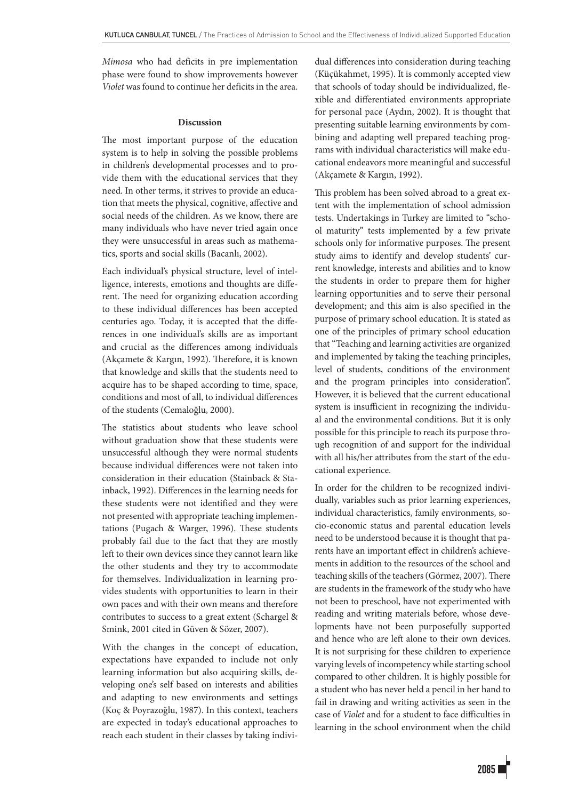*Mimosa* who had deficits in pre implementation phase were found to show improvements however *Violet* was found to continue her deficits in the area.

#### **Discussion**

The most important purpose of the education system is to help in solving the possible problems in children's developmental processes and to provide them with the educational services that they need. In other terms, it strives to provide an education that meets the physical, cognitive, affective and social needs of the children. As we know, there are many individuals who have never tried again once they were unsuccessful in areas such as mathematics, sports and social skills (Bacanlı, 2002).

Each individual's physical structure, level of intelligence, interests, emotions and thoughts are different. The need for organizing education according to these individual differences has been accepted centuries ago. Today, it is accepted that the differences in one individual's skills are as important and crucial as the differences among individuals (Akçamete & Kargın, 1992). Therefore, it is known that knowledge and skills that the students need to acquire has to be shaped according to time, space, conditions and most of all, to individual differences of the students (Cemaloğlu, 2000).

The statistics about students who leave school without graduation show that these students were unsuccessful although they were normal students because individual differences were not taken into consideration in their education (Stainback & Stainback, 1992). Differences in the learning needs for these students were not identified and they were not presented with appropriate teaching implementations (Pugach & Warger, 1996). These students probably fail due to the fact that they are mostly left to their own devices since they cannot learn like the other students and they try to accommodate for themselves. Individualization in learning provides students with opportunities to learn in their own paces and with their own means and therefore contributes to success to a great extent (Schargel & Smink, 2001 cited in Güven & Sözer, 2007).

With the changes in the concept of education, expectations have expanded to include not only learning information but also acquiring skills, developing one's self based on interests and abilities and adapting to new environments and settings (Koç & Poyrazoğlu, 1987). In this context, teachers are expected in today's educational approaches to reach each student in their classes by taking individual differences into consideration during teaching (Küçükahmet, 1995). It is commonly accepted view that schools of today should be individualized, flexible and differentiated environments appropriate for personal pace (Aydın, 2002). It is thought that presenting suitable learning environments by combining and adapting well prepared teaching programs with individual characteristics will make educational endeavors more meaningful and successful (Akçamete & Kargın, 1992).

This problem has been solved abroad to a great extent with the implementation of school admission tests. Undertakings in Turkey are limited to "school maturity" tests implemented by a few private schools only for informative purposes. The present study aims to identify and develop students' current knowledge, interests and abilities and to know the students in order to prepare them for higher learning opportunities and to serve their personal development; and this aim is also specified in the purpose of primary school education. It is stated as one of the principles of primary school education that "Teaching and learning activities are organized and implemented by taking the teaching principles, level of students, conditions of the environment and the program principles into consideration". However, it is believed that the current educational system is insufficient in recognizing the individual and the environmental conditions. But it is only possible for this principle to reach its purpose through recognition of and support for the individual with all his/her attributes from the start of the educational experience.

In order for the children to be recognized individually, variables such as prior learning experiences, individual characteristics, family environments, socio-economic status and parental education levels need to be understood because it is thought that parents have an important effect in children's achievements in addition to the resources of the school and teaching skills of the teachers (Görmez, 2007). There are students in the framework of the study who have not been to preschool, have not experimented with reading and writing materials before, whose developments have not been purposefully supported and hence who are left alone to their own devices. It is not surprising for these children to experience varying levels of incompetency while starting school compared to other children. It is highly possible for a student who has never held a pencil in her hand to fail in drawing and writing activities as seen in the case of *Violet* and for a student to face difficulties in learning in the school environment when the child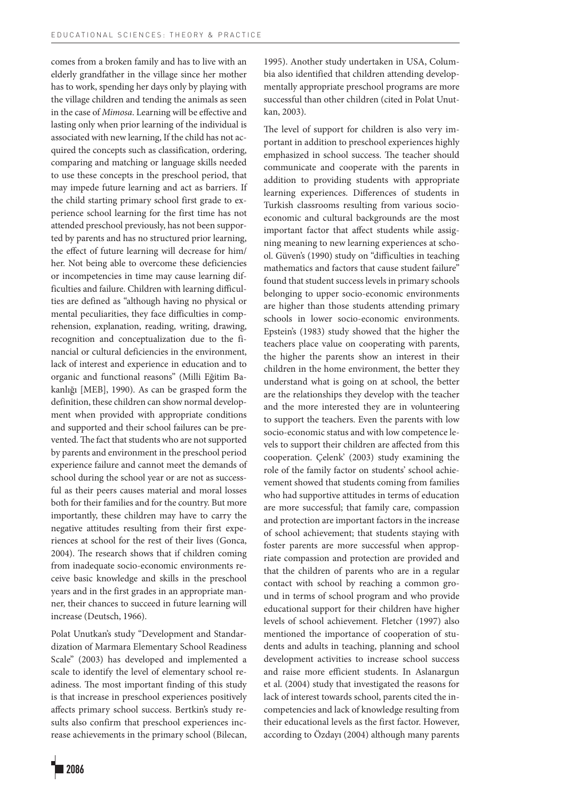comes from a broken family and has to live with an elderly grandfather in the village since her mother has to work, spending her days only by playing with the village children and tending the animals as seen in the case of *Mimosa*. Learning will be effective and lasting only when prior learning of the individual is associated with new learning, If the child has not acquired the concepts such as classification, ordering, comparing and matching or language skills needed to use these concepts in the preschool period, that may impede future learning and act as barriers. If the child starting primary school first grade to experience school learning for the first time has not attended preschool previously, has not been supported by parents and has no structured prior learning, the effect of future learning will decrease for him/ her. Not being able to overcome these deficiencies or incompetencies in time may cause learning difficulties and failure. Children with learning difficulties are defined as "although having no physical or mental peculiarities, they face difficulties in comprehension, explanation, reading, writing, drawing, recognition and conceptualization due to the financial or cultural deficiencies in the environment, lack of interest and experience in education and to organic and functional reasons" (Milli Eğitim Bakanlığı [MEB], 1990). As can be grasped form the definition, these children can show normal development when provided with appropriate conditions and supported and their school failures can be prevented. The fact that students who are not supported by parents and environment in the preschool period experience failure and cannot meet the demands of school during the school year or are not as successful as their peers causes material and moral losses both for their families and for the country. But more importantly, these children may have to carry the negative attitudes resulting from their first experiences at school for the rest of their lives (Gonca, 2004). The research shows that if children coming from inadequate socio-economic environments receive basic knowledge and skills in the preschool years and in the first grades in an appropriate manner, their chances to succeed in future learning will increase (Deutsch, 1966).

Polat Unutkan's study "Development and Standardization of Marmara Elementary School Readiness Scale" (2003) has developed and implemented a scale to identify the level of elementary school readiness. The most important finding of this study is that increase in preschool experiences positively affects primary school success. Bertkin's study results also confirm that preschool experiences increase achievements in the primary school (Bilecan, 1995). Another study undertaken in USA, Columbia also identified that children attending developmentally appropriate preschool programs are more successful than other children (cited in Polat Unutkan, 2003).

The level of support for children is also very important in addition to preschool experiences highly emphasized in school success. The teacher should communicate and cooperate with the parents in addition to providing students with appropriate learning experiences. Differences of students in Turkish classrooms resulting from various socioeconomic and cultural backgrounds are the most important factor that affect students while assigning meaning to new learning experiences at school. Güven's (1990) study on "difficulties in teaching mathematics and factors that cause student failure" found that student success levels in primary schools belonging to upper socio-economic environments are higher than those students attending primary schools in lower socio-economic environments. Epstein's (1983) study showed that the higher the teachers place value on cooperating with parents, the higher the parents show an interest in their children in the home environment, the better they understand what is going on at school, the better are the relationships they develop with the teacher and the more interested they are in volunteering to support the teachers. Even the parents with low socio-economic status and with low competence levels to support their children are affected from this cooperation. Çelenk' (2003) study examining the role of the family factor on students' school achievement showed that students coming from families who had supportive attitudes in terms of education are more successful; that family care, compassion and protection are important factors in the increase of school achievement; that students staying with foster parents are more successful when appropriate compassion and protection are provided and that the children of parents who are in a regular contact with school by reaching a common ground in terms of school program and who provide educational support for their children have higher levels of school achievement. Fletcher (1997) also mentioned the importance of cooperation of students and adults in teaching, planning and school development activities to increase school success and raise more efficient students. In Aslanargun et al. (2004) study that investigated the reasons for lack of interest towards school, parents cited the incompetencies and lack of knowledge resulting from their educational levels as the first factor. However, according to Özdayı (2004) although many parents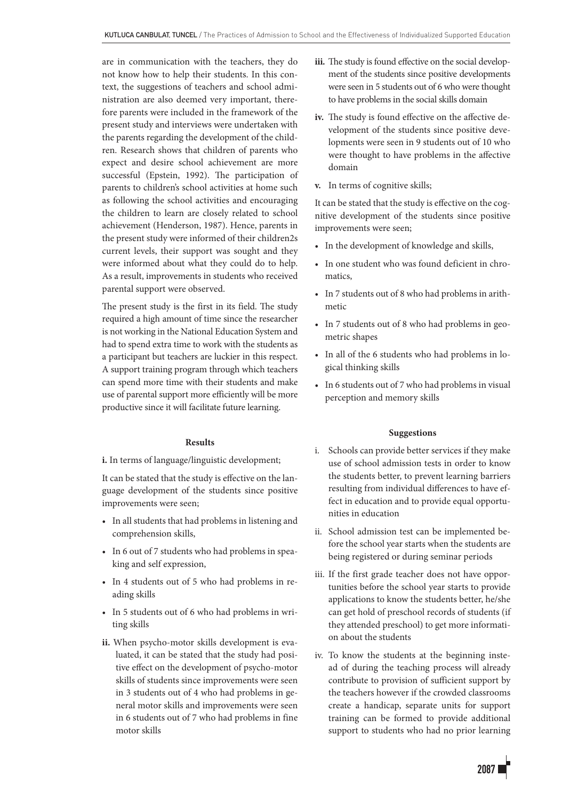are in communication with the teachers, they do not know how to help their students. In this context, the suggestions of teachers and school administration are also deemed very important, therefore parents were included in the framework of the present study and interviews were undertaken with the parents regarding the development of the children. Research shows that children of parents who expect and desire school achievement are more successful (Epstein, 1992). The participation of parents to children's school activities at home such as following the school activities and encouraging the children to learn are closely related to school achievement (Henderson, 1987). Hence, parents in the present study were informed of their children2s current levels, their support was sought and they were informed about what they could do to help. As a result, improvements in students who received parental support were observed.

The present study is the first in its field. The study required a high amount of time since the researcher is not working in the National Education System and had to spend extra time to work with the students as a participant but teachers are luckier in this respect. A support training program through which teachers can spend more time with their students and make use of parental support more efficiently will be more productive since it will facilitate future learning.

#### **Results**

**i.** In terms of language/linguistic development;

It can be stated that the study is effective on the language development of the students since positive improvements were seen;

- • In all students that had problems in listening and comprehension skills,
- In 6 out of 7 students who had problems in speaking and self expression,
- • In 4 students out of 5 who had problems in reading skills
- • In 5 students out of 6 who had problems in writing skills
- **ii.** When psycho-motor skills development is evaluated, it can be stated that the study had positive effect on the development of psycho-motor skills of students since improvements were seen in 3 students out of 4 who had problems in general motor skills and improvements were seen in 6 students out of 7 who had problems in fine motor skills
- **iii.** The study is found effective on the social development of the students since positive developments were seen in 5 students out of 6 who were thought to have problems in the social skills domain
- **iv.** The study is found effective on the affective development of the students since positive developments were seen in 9 students out of 10 who were thought to have problems in the affective domain
- **v.** In terms of cognitive skills;

It can be stated that the study is effective on the cognitive development of the students since positive improvements were seen;

- • In the development of knowledge and skills,
- • In one student who was found deficient in chromatics,
- • In 7 students out of 8 who had problems in arithmetic
- In 7 students out of 8 who had problems in geometric shapes
- • In all of the 6 students who had problems in logical thinking skills
- • In 6 students out of 7 who had problems in visual perception and memory skills

## **Suggestions**

- i. Schools can provide better services if they make use of school admission tests in order to know the students better, to prevent learning barriers resulting from individual differences to have effect in education and to provide equal opportunities in education
- ii. School admission test can be implemented before the school year starts when the students are being registered or during seminar periods
- iii. If the first grade teacher does not have opportunities before the school year starts to provide applications to know the students better, he/she can get hold of preschool records of students (if they attended preschool) to get more information about the students
- iv. To know the students at the beginning instead of during the teaching process will already contribute to provision of sufficient support by the teachers however if the crowded classrooms create a handicap, separate units for support training can be formed to provide additional support to students who had no prior learning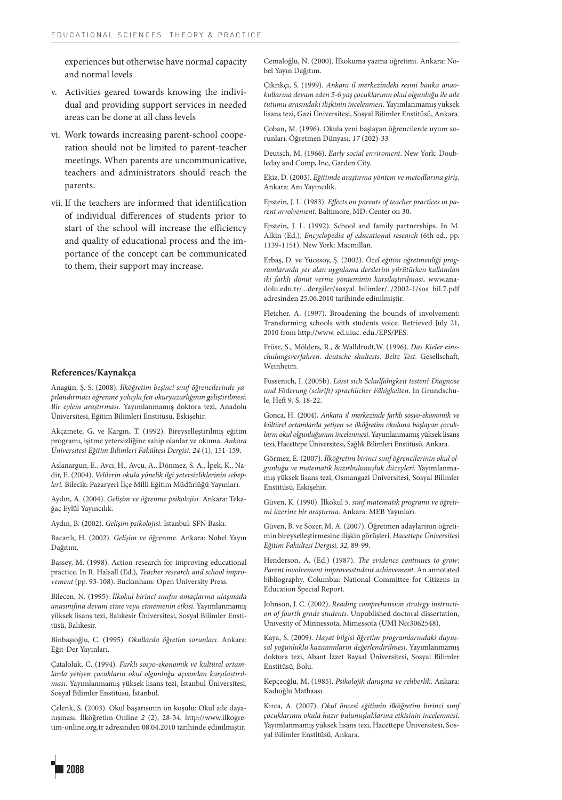experiences but otherwise have normal capacity and normal levels

- v. Activities geared towards knowing the individual and providing support services in needed areas can be done at all class levels
- vi. Work towards increasing parent-school cooperation should not be limited to parent-teacher meetings. When parents are uncommunicative, teachers and administrators should reach the parents.
- vii. If the teachers are informed that identification of individual differences of students prior to start of the school will increase the efficiency and quality of educational process and the importance of the concept can be communicated to them, their support may increase.

#### **References/Kaynakça**

Anagün, Ş. S. (2008). *İlköğretim beşinci sınıf öğrencilerinde yapılandırmacı öğrenme yoluyla fen okuryazarlığının geliştirilmesi: Bir eylem araştırması*. Yayımlanmamı**ş** doktora tezi, Anadolu Üniversitesi, Eğitim Bilimleri Enstitüsü, Eskişehir.

Akçamete, G. ve Kargın, T. (1992). Bireyselleştirilmiş eğitim programı, işitme yetersizliğine sahip olanlar ve okuma. *Ankara Üniversitesi Eğitim Bilimleri Fakültesi Dergisi, 24* (1), 151-159.

Aslanargun, E., Avcı, H., Avcu, A., Dönmez, S. A., İpek, K., Nadir, E. (2004). *Velilerin okula yönelik ilgi yetersizliklerinin sebepleri.* Bilecik: Pazaryeri İlçe Milli Eğitim Müdürlüğü Yayınları.

Aydın, A. (2004). *Gelişim ve öğrenme psikolojisi.* Ankara: Tekağaç Eylül Yayıncılık.

Aydın, B. (2002). *Gelişim psikolojisi*. İstanbul: SFN Baskı.

Bacanlı, H. (2002). *Gelişim ve ö*ğrenme. Ankara: Nobel Yayın Dağıtım.

Bassey, M. (1998). Action research for improving educational practice. In R. Halsall (Ed.), *Teacher research and school improvement* (pp. 93-108). Buckınham: Open University Press.

Bilecen, N. (1995). *İlkokul birinci sınıfın amaçlarına ulaşmada anasınıfına devam etme veya etmemenin etkisi*. Yayımlanmamış yüksek lisans tezi, Balıkesir Üniversitesi, Sosyal Bilimler Enstitüsü, Balıkesir.

Binbaşıoğlu, C. (1995). *Okullarda öğretim sorunları*. Ankara: Eğit-Der Yayınları.

Çataloluk, C. (1994). *Farklı sosyo-ekonomik ve kültürel ortamlarda yetişen çocukların okul olgunluğu açısından karşılaştırılması*. Yayımlanmamış yüksek lisans tezi, İstanbul Üniversitesi, Sosyal Bilimler Enstitüsü, İstanbul.

Çelenk, S. (2003). Okul başarısının ön koşulu: Okul aile dayanışması. İlköğretim-Online *2* (2), 28-34. http://www.ilkogretim-online.org.tr adresinden 08.04.2010 tarihinde edinilmiştir.

Cemaloğlu, N. (2000). İlkokuma yazma öğretimi. Ankara: Nobel Yayın Dağıtım.

Çıkrıkçı, S. (1999). *Ankara il merkezindeki resmi banka anaokullarına devam eden 5-6 yaş çocuklarının okul olgunluğu ile aile tutumu arasındaki ilişkinin incelenmesi*. Yayımlanmamış yüksek lisans tezi, Gazi Üniversitesi, Sosyal Bilimler Enstitüsü, Ankara.

Çoban, M. (1996). Okula yeni başlayan öğrencilerde uyum sorunları. Öğretmen Dünyası*, 17* (202)-33

Deutsch, M. (1966). *Early social enviroment*. New York: Doubleday and Comp, Inc, Garden City.

Ekiz, D. (2003). *Eğitimde araştırma yöntem ve metodlarına giriş*. Ankara: Anı Yayıncılık.

Epstein, J. L. (1983). *Effects on parents of teacher practices ın parent ınvolvement*. Baltimore, MD: Center on 30.

Epstein, J. L. (1992). School and family partnerships. In M. Alkin (Ed.), *Encyclopedia of educational research* (6th ed., pp. 1139-1151). New York: Macmillan.

Erbaş, D. ve Yücesoy, Ş. (2002). *Özel eğitim öğretmenliği programlarında yer alan uygulama derslerini yürütürken kullanılan iki farklı dönüt verme yönteminin karsılaştırılması***.** www.anadolu.edu.tr/...dergiler/sosyal\_bilimler/../2002-1/sos\_bil.7.pdf adresinden 25.06.2010 tarihinde edinilmiştir.

Fletcher, A. (1997). Broadening the bounds of involvement: Transforming schools with students voice. Retrieved July 21, 2010 from http://www. ed.uiuc. edu./EPS/PES.

Fröse, S., Mölders, R., & Walldrodt,W. (1996). *Das Kieler einschulungsverfahren. deutsche shultests. Beltz Test*. Gesellschaft, Weinheim.

Füssenich, I. (2005b). *Lässt sich Schulfähigkeit testen? Diagnose und Föderung (schrift) sprachlicher Fähigkeiten*. In Grundschule, Heft 9, S. 18-22.

Gonca, H. (2004). *Ankara il merkezinde farklı sosyo-ekonomik ve kültürel ortamlarda yetişen ve ilköğretim okuluna başlayan çocukların okul olgunluğunun incelenmesi*. Yayımlanmamış yüksek lisans tezi, Hacettepe Üniversitesi, Sağlık Bilimleri Enstitüsü, Ankara.

Görmez, E. (2007). *İlköğretim birinci sınıf öğrencilerinin okul olgunluğu ve matematik hazırbulunuşluk düzeyleri*. Yayımlanmamış yüksek lisans tezi, Osmangazi Üniversitesi, Sosyal Bilimler Enstitüsü, Eskişehir.

Güven, K. (1990). İlkokul 5. *sınıf matematik programı ve öğretimi üzerine bir araştırma*. Ankara: MEB Yayınları.

Güven, B. ve Sözer, M. A. (2007). Öğretmen adaylarının öğretimin bireyselleştirmesine ilişkin görüşleri. *Hacettepe Üniversitesi Eğitim Fakültesi Dergisi, 32,* 89-99.

Henderson, A. (Ed.) (1987). *The evidence continues to grow: Parent involvement improvesstudent achievement*. An annotated bibliography. Columbia: National Committee for Citizens in Education Special Report.

Johnson, J. C. (2002). *Reading comprehension strategy instruction of fourth grade students*. Unpublished doctoral dissertation, Univesity of Minnessota, Mimessota (UMI No:3062548).

Kaya, S. (2009). *Hayat bilgisi öğretim programlarındaki duyuşsal yoğunluklu kazanımların değerlendirilmesi*. Yayımlanmamış doktora tezi, Abant İzzet Baysal Üniversitesi, Sosyal Bilimler Enstitüsü, Bolu.

Kepçeoğlu, M. (1985). *Psikolojik danışma ve rehberlik*. Ankara: Kadıoğlu Matbaası.

Kırca, A. (2007). *Okul öncesi eğitimin ilköğretim birinci sınıf çocuklarının okula hazır bulunuşluklarına etkisinin incelenmesi*. Yayımlanmamış yüksek lisans tezi, Hacettepe Üniversitesi, Sosyal Bilimler Enstitüsü, Ankara.